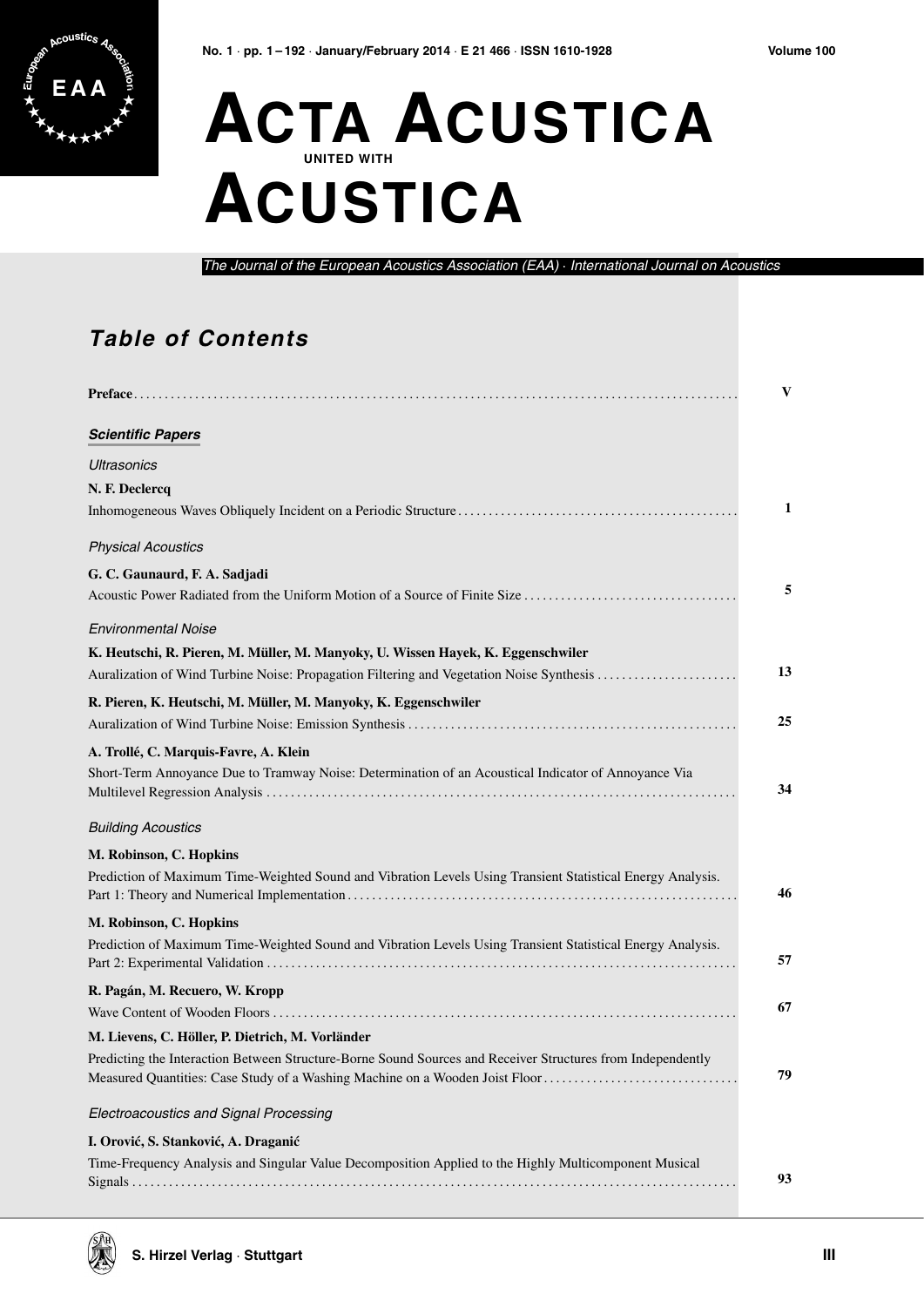

## **ACTA ACUSTICA UNITED WITH ACUSTICA**

The Journal of the European Acoustics Association (EAA) · International Journal on Acoustics

## **Table of Contents**

|                                                                                                                                                                                                                                                 | V  |
|-------------------------------------------------------------------------------------------------------------------------------------------------------------------------------------------------------------------------------------------------|----|
| <b>Scientific Papers</b>                                                                                                                                                                                                                        |    |
| Ultrasonics                                                                                                                                                                                                                                     |    |
| N. F. Declercq                                                                                                                                                                                                                                  | 1  |
| <b>Physical Acoustics</b>                                                                                                                                                                                                                       |    |
| G. C. Gaunaurd, F. A. Sadjadi<br>Acoustic Power Radiated from the Uniform Motion of a Source of Finite Size                                                                                                                                     | 5  |
| <b>Environmental Noise</b><br>K. Heutschi, R. Pieren, M. Müller, M. Manyoky, U. Wissen Hayek, K. Eggenschwiler<br>Auralization of Wind Turbine Noise: Propagation Filtering and Vegetation Noise Synthesis                                      | 13 |
| R. Pieren, K. Heutschi, M. Müller, M. Manyoky, K. Eggenschwiler                                                                                                                                                                                 | 25 |
| A. Trollé, C. Marquis-Favre, A. Klein<br>Short-Term Annoyance Due to Tramway Noise: Determination of an Acoustical Indicator of Annoyance Via                                                                                                   | 34 |
| <b>Building Acoustics</b>                                                                                                                                                                                                                       |    |
| M. Robinson, C. Hopkins<br>Prediction of Maximum Time-Weighted Sound and Vibration Levels Using Transient Statistical Energy Analysis.                                                                                                          | 46 |
| M. Robinson, C. Hopkins                                                                                                                                                                                                                         |    |
| Prediction of Maximum Time-Weighted Sound and Vibration Levels Using Transient Statistical Energy Analysis.                                                                                                                                     | 57 |
| R. Pagán, M. Recuero, W. Kropp                                                                                                                                                                                                                  | 67 |
| M. Lievens, C. Höller, P. Dietrich, M. Vorländer<br>Predicting the Interaction Between Structure-Borne Sound Sources and Receiver Structures from Independently<br>Measured Quantities: Case Study of a Washing Machine on a Wooden Joist Floor | 79 |
| Electroacoustics and Signal Processing                                                                                                                                                                                                          |    |
| I. Orović, S. Stanković, A. Draganić<br>Time-Frequency Analysis and Singular Value Decomposition Applied to the Highly Multicomponent Musical                                                                                                   | 93 |